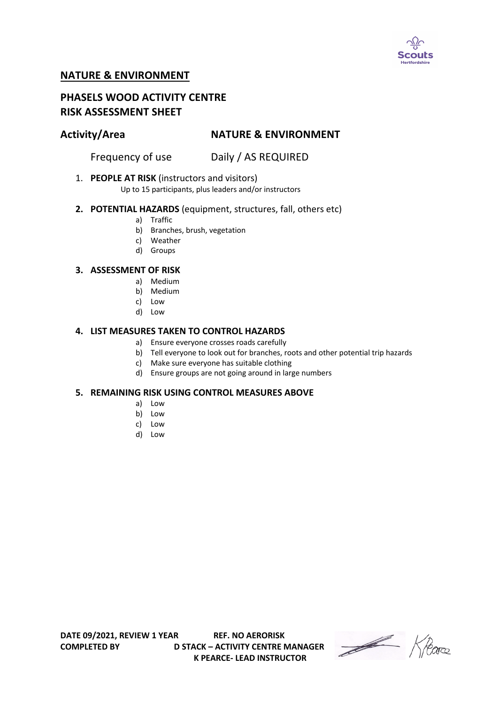

## **NATURE & ENVIRONMENT**

# **PHASELS WOOD ACTIVITY CENTRE RISK ASSESSMENT SHEET**

# **Activity/Area NATURE & ENVIRONMENT**

Frequency of use Daily / AS REQUIRED

1. **PEOPLE AT RISK** (instructors and visitors)

Up to 15 participants, plus leaders and/or instructors

### **2. POTENTIAL HAZARDS** (equipment, structures, fall, others etc)

- a) Traffic
- b) Branches, brush, vegetation
- c) Weather
- d) Groups

#### **3. ASSESSMENT OF RISK**

- a) Medium
- b) Medium
- c) Low
- d) Low

### **4. LIST MEASURES TAKEN TO CONTROL HAZARDS**

- a) Ensure everyone crosses roads carefully
- b) Tell everyone to look out for branches, roots and other potential trip hazards
- c) Make sure everyone has suitable clothing
- d) Ensure groups are not going around in large numbers

#### **5. REMAINING RISK USING CONTROL MEASURES ABOVE**

- a) Low
- b) Low
- c) Low
- d) Low

**COMPLETED BY D STACK – ACTIVITY CENTRE MANAGER K PEARCE- LEAD INSTRUCTOR** 

Heare